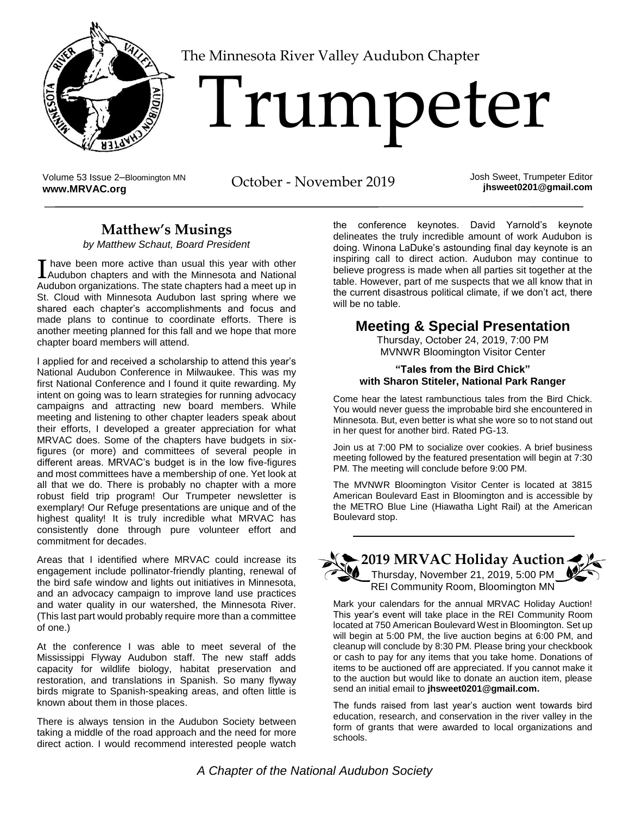

[T](http://www.MRVAC.org)he Minnesota River Valley Audubon Chapter

# Trumpeter

Volume 53 Issue 2–Bloomington MN Volume 53 Issue 2-Bloomington MN<br> **WWW.MRVAC.org**<br> **WWW.MRVAC.org** 

Josh Sweet, Trumpeter Editor **jhsweet0201@gmail.com**

## **Matthew's Musings**

*by Matthew Schaut, Board President*

have been more active than usual this year with other I have been more active than usual this year with other<br>Audubon chapters and with the Minnesota and National Audubon organizations. The state chapters had a meet up in St. Cloud with Minnesota Audubon last spring where we shared each chapter's accomplishments and focus and made plans to continue to coordinate efforts. There is another meeting planned for this fall and we hope that more chapter board members will attend.

I applied for and received a scholarship to attend this year's National Audubon Conference in Milwaukee. This was my first National Conference and I found it quite rewarding. My intent on going was to learn strategies for running advocacy campaigns and attracting new board members. While meeting and listening to other chapter leaders speak about their efforts, I developed a greater appreciation for what MRVAC does. Some of the chapters have budgets in sixfigures (or more) and committees of several people in different areas. MRVAC's budget is in the low five-figures and most committees have a membership of one. Yet look at all that we do. There is probably no chapter with a more robust field trip program! Our Trumpeter newsletter is exemplary! Our Refuge presentations are unique and of the highest quality! It is truly incredible what MRVAC has consistently done through pure volunteer effort and commitment for decades.

Areas that I identified where MRVAC could increase its engagement include pollinator-friendly planting, renewal of the bird safe window and lights out initiatives in Minnesota, and an advocacy campaign to improve land use practices and water quality in our watershed, the Minnesota River. (This last part would probably require more than a committee of one.)

At the conference I was able to meet several of the Mississippi Flyway Audubon staff. The new staff adds capacity for wildlife biology, habitat preservation and restoration, and translations in Spanish. So many flyway birds migrate to Spanish-speaking areas, and often little is known about them in those places.

There is always tension in the Audubon Society between taking a middle of the road approach and the need for more direct action. I would recommend interested people watch the conference keynotes. David Yarnold's keynote delineates the truly incredible amount of work Audubon is doing. Winona LaDuke's astounding final day keynote is an inspiring call to direct action. Audubon may continue to believe progress is made when all parties sit together at the table. However, part of me suspects that we all know that in the current disastrous political climate, if we don't act, there will be no table.

### **Meeting & Special Presentation**

Thursday, October 24, 2019, 7:00 PM MVNWR Bloomington Visitor Center

#### **"Tales from the Bird Chick" with Sharon Stiteler, National Park Ranger**

Come hear the latest rambunctious tales from the Bird Chick. You would never guess the improbable bird she encountered in Minnesota. But, even better is what she wore so to not stand out in her quest for another bird. Rated PG-13.

Join us at 7:00 PM to socialize over cookies. A brief business meeting followed by the featured presentation will begin at 7:30 PM. The meeting will conclude before 9:00 PM.

The MVNWR Bloomington Visitor Center is located at 3815 American Boulevard East in Bloomington and is accessible by the METRO Blue Line (Hiawatha Light Rail) at the American Boulevard stop.



Mark your calendars for the annual MRVAC Holiday Auction! This year's event will take place in the REI Community Room located at 750 American Boulevard West in Bloomington. Set up will begin at 5:00 PM, the live auction begins at 6:00 PM, and cleanup will conclude by 8:30 PM. Please bring your checkbook or cash to pay for any items that you take home. Donations of items to be auctioned off are appreciated. If you cannot make it to the auction but would like to donate an auction item, please send an initial email to **[jhsweet0201@gmail.com.](mailto:jhsweet0201@gmail.com)**

The funds raised from last year's auction went towards bird education, research, and conservation in the river valley in the form of grants that were awarded to local organizations and schools.

*A Chapter of the National Audubon Society*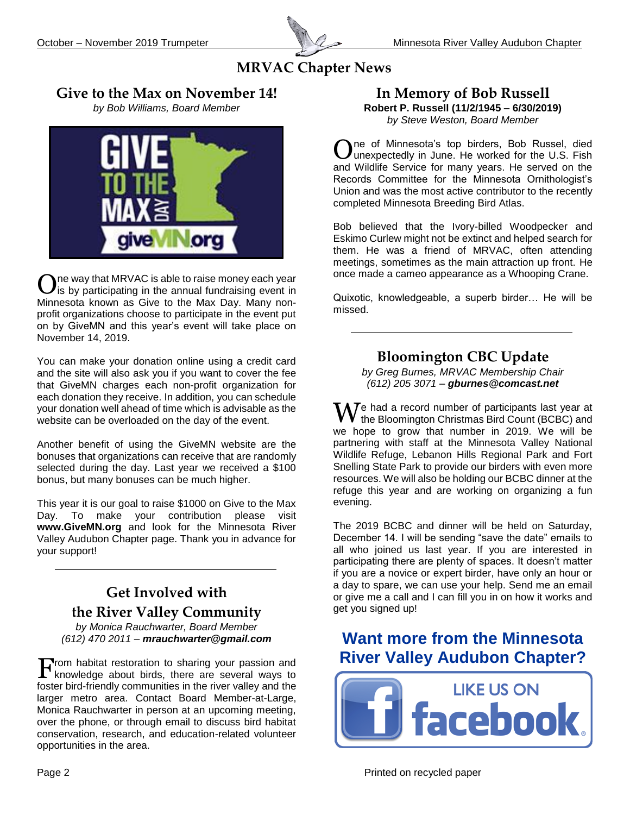

### **MRVAC Chapter News**

#### **Give to the Max on November 14!**

*by Bob Williams, Board Member*



ne way that MRVAC is able to raise money each year is by participating in the annual fundraising event in Minnesota known as Give to the Max Day. Many nonprofit organizations choose to participate in the event put on by GiveMN and this year's event will take place on November 14, 2019. O

You can make your donation online using a credit card and the site will also ask you if you want to cover the fee that GiveMN charges each non-profit organization for each donation they receive. In addition, you can schedule your donation well ahead of time which is advisable as the website can be overloaded on the day of the event.

Another benefit of using the GiveMN website are the bonuses that organizations can receive that are randomly selected during the day. Last year we received a \$100 bonus, but many bonuses can be much higher.

This year it is our goal to raise \$1000 on Give to the Max Day. To make your contribution please visit **[www.GiveMN.org](http://www.givemn.org/)** and look for the Minnesota River Valley Audubon Chapter page. Thank you in advance for your support!

# **Get Involved with the River Valley Community**

*by Monica Rauchwarter, Board Member (612) 470 2011 – mrauchwarter@gmail.com*

Trom habitat restoration to sharing your passion and From habitat restoration to sharing your passion and knowledge about birds, there are several ways to foster bird-friendly communities in the river valley and the larger metro area. Contact Board Member-at-Large, Monica Rauchwarter in person at an upcoming meeting, over the phone, or through email to discuss bird habitat conservation, research, and education-related volunteer opportunities in the area.

#### **In Memory of Bob Russell Robert P. Russell (11/2/1945 – 6/30/2019)** *by Steve Weston, Board Member*

ne of Minnesota's top birders, Bob Russel, died  $\mathbf{O}$ ne of Minnesota's top birders, Bob Russel, died unexpectedly in June. He worked for the U.S. Fish and Wildlife Service for many years. He served on the Records Committee for the Minnesota Ornithologist's Union and was the most active contributor to the recently completed Minnesota Breeding Bird Atlas.

Bob believed that the Ivory-billed Woodpecker and Eskimo Curlew might not be extinct and helped search for them. He was a friend of MRVAC, often attending meetings, sometimes as the main attraction up front. He once made a cameo appearance as a Whooping Crane.

Quixotic, knowledgeable, a superb birder… He will be missed.

## **Bloomington CBC Update**

*by Greg Burnes, MRVAC Membership Chair (612) 205 3071 – gburnes@comcast.net*

 $\mathbf W$ e had a record number of participants last year at the Bloomington Christmas Bird Count (BCBC) and the Bloomington Christmas Bird Count (BCBC) and we hope to grow that number in 2019. We will be partnering with staff at the Minnesota Valley National Wildlife Refuge, Lebanon Hills Regional Park and Fort Snelling State Park to provide our birders with even more resources. We will also be holding our BCBC dinner at the refuge this year and are working on organizing a fun evening.

The 2019 BCBC and dinner will be held on Saturday, December 14. I will be sending "save the date" emails to all who joined us last year. If you are interested in participating there are plenty of spaces. It doesn't matter if you are a novice or expert birder, have only an hour or a day to spare, we can use your help. Send me an email or give me a call and I can fill you in on how it works and get you signed up!

## **[Want more from the Minnesota](https://www.facebook.com/MRVAC.MN/)  [River Valley Audubon Chapter?](https://www.facebook.com/MRVAC.MN/)**

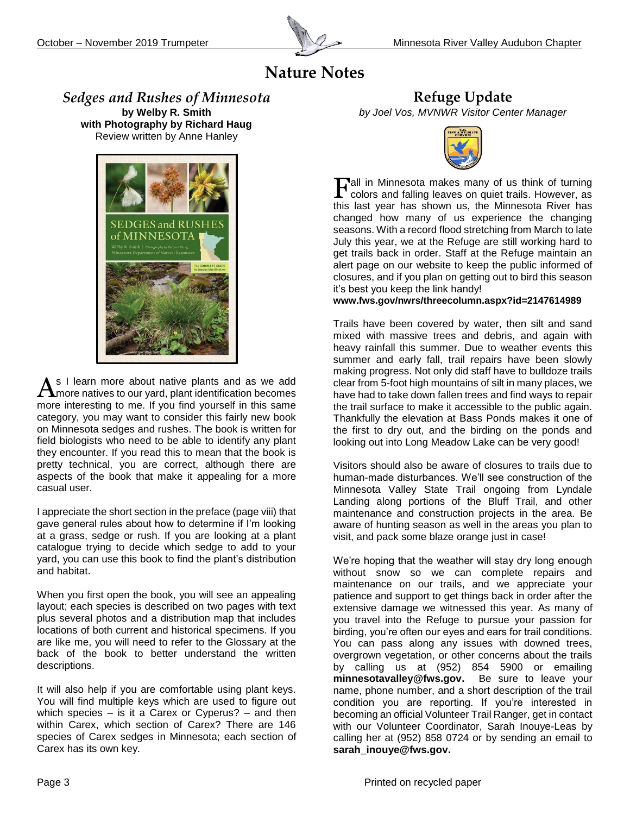

# **Nature Notes**

*Sedges and Rushes of Minnesota* **by Welby R. Smith with Photography by Richard Haug** Review written by Anne Hanley



s I learn more about native plants and as we add  $A$ s I learn more about native plants and as we add more natives to our yard, plant identification becomes more interesting to me. If you find yourself in this same category, you may want to consider this fairly new book on Minnesota sedges and rushes. The book is written for field biologists who need to be able to identify any plant they encounter. If you read this to mean that the book is pretty technical, you are correct, although there are aspects of the book that make it appealing for a more casual user.

I appreciate the short section in the preface (page viii) that gave general rules about how to determine if I'm looking at a grass, sedge or rush. If you are looking at a plant catalogue trying to decide which sedge to add to your yard, you can use this book to find the plant's distribution and habitat.

When you first open the book, you will see an appealing layout; each species is described on two pages with text plus several photos and a distribution map that includes locations of both current and historical specimens. If you are like me, you will need to refer to the Glossary at the back of the book to better understand the written descriptions.

It will also help if you are comfortable using plant keys. You will find multiple keys which are used to figure out which species  $-$  is it a Carex or Cyperus?  $-$  and then within Carex, which section of Carex? There are 146 species of Carex sedges in Minnesota; each section of Carex has its own key.

**Refuge Update** *by Joel Vos, MVNWR Visitor Center Manager*



all in Minnesota makes many of us think of turning Tall in Minnesota makes many of us think of turning<br>colors and falling leaves on quiet trails. However, as this last year has shown us, the Minnesota River has changed how many of us experience the changing seasons. With a record flood stretching from March to late July this year, we at the Refuge are still working hard to get trails back in order. Staff at the Refuge maintain an alert page on our website to keep the public informed of closures, and if you plan on getting out to bird this season it's best you keep the link handy!

**[www.fws.gov/nwrs/threecolumn.aspx?id=2147614989](http://www.fws.gov/nwrs/threecolumn.aspx?id=2147614989)**

Trails have been covered by water, then silt and sand mixed with massive trees and debris, and again with heavy rainfall this summer. Due to weather events this summer and early fall, trail repairs have been slowly making progress. Not only did staff have to bulldoze trails clear from 5-foot high mountains of silt in many places, we have had to take down fallen trees and find ways to repair the trail surface to make it accessible to the public again. Thankfully the elevation at Bass Ponds makes it one of the first to dry out, and the birding on the ponds and looking out into Long Meadow Lake can be very good!

Visitors should also be aware of closures to trails due to human-made disturbances. We'll see construction of the Minnesota Valley State Trail ongoing from Lyndale Landing along portions of the Bluff Trail, and other maintenance and construction projects in the area. Be aware of hunting season as well in the areas you plan to visit, and pack some blaze orange just in case!

We're hoping that the weather will stay dry long enough without snow so we can complete repairs and maintenance on our trails, and we appreciate your patience and support to get things back in order after the extensive damage we witnessed this year. As many of you travel into the Refuge to pursue your passion for birding, you're often our eyes and ears for trail conditions. You can pass along any issues with downed trees, overgrown vegetation, or other concerns about the trails by calling us at (952) 854 5900 or emailing **minnesotavalley@fws.gov.** Be sure to leave your name, phone number, and a short description of the trail condition you are reporting. If you're interested in becoming an official Volunteer Trail Ranger, get in contact with our Volunteer Coordinator, Sarah Inouye-Leas by calling her at (952) 858 0724 or by sending an email to **[sarah\\_inouye@fws.gov.](mailto:sarah_inouye@fws.gov)**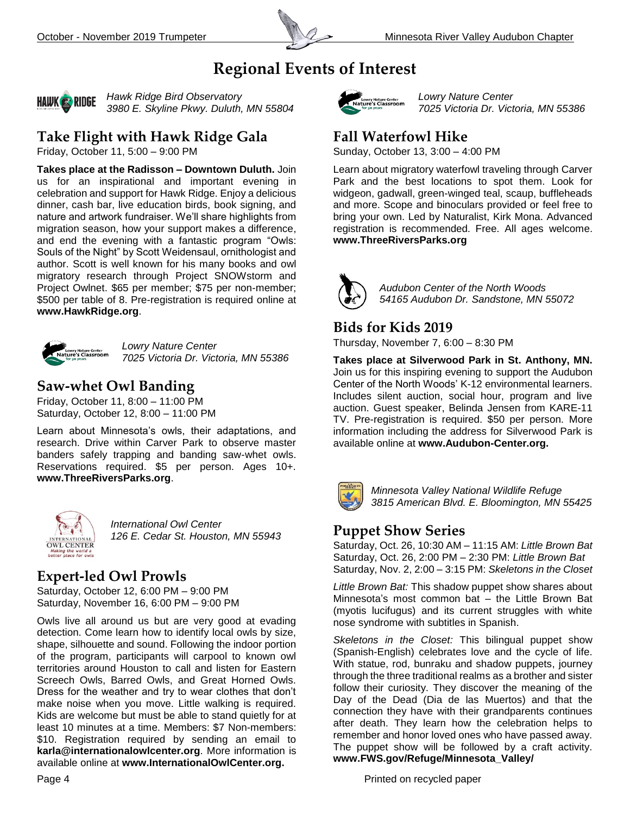

## **Regional Events of Interest**



*Hawk Ridge Bird Observatory 3980 E. Skyline Pkwy. Duluth, MN 55804*

## **Take Flight with Hawk Ridge Gala**

Friday, October 11, 5:00 – 9:00 PM

**Takes place at the Radisson – Downtown Duluth.** Join us for an inspirational and important evening in celebration and support for Hawk Ridge. Enjoy a delicious dinner, cash bar, live education birds, book signing, and nature and artwork fundraiser. We'll share highlights from migration season, how your support makes a difference, and end the evening with a fantastic program "Owls: Souls of the Night" by Scott Weidensaul, ornithologist and author. Scott is well known for his many books and owl migratory research through Project SNOWstorm and Project Owlnet. \$65 per member; \$75 per non-member; \$500 per table of 8. Pre-registration is required online at **[www.HawkRidge.org](http://www.hawkridge.org/)**.



*Lowry Nature Center 7025 Victoria Dr. Victoria, MN 55386*

## **Saw-whet Owl Banding**

Friday, October 11, 8:00 – 11:00 PM Saturday, October 12, 8:00 – 11:00 PM

Learn about Minnesota's owls, their adaptations, and research. Drive within Carver Park to observe master banders safely trapping and banding saw-whet owls. Reservations required. \$5 per person. Ages 10+. **[www.ThreeRiversParks.org](http://www.threeriversparks.org/)**.



*International Owl Center 126 E. Cedar St. Houston, MN 55943*

### **Expert-led Owl Prowls**

Saturday, October 12, 6:00 PM – 9:00 PM Saturday, November 16, 6:00 PM – 9:00 PM

Owls live all around us but are very good at evading detection. Come learn how to identify local owls by size, shape, silhouette and sound. Following the indoor portion of the program, participants will carpool to known owl territories around Houston to call and listen for Eastern Screech Owls, Barred Owls, and Great Horned Owls. Dress for the weather and try to wear clothes that don't make noise when you move. Little walking is required. Kids are welcome but must be able to stand quietly for at least 10 minutes at a time. Members: \$7 Non-members: \$10. Registration required by sending an email to **[karla@internationalowlcenter.org](mailto:karla@internationalowlcenter.org)**. More information is available online at **[www.InternationalOwlCenter.org.](http://www.internationalowlcenter.org/)**



*Lowry Nature Center 7025 Victoria Dr. Victoria, MN 55386*

#### **Fall Waterfowl Hike**

Sunday, October 13, 3:00 – 4:00 PM

Learn about migratory waterfowl traveling through Carver Park and the best locations to spot them. Look for widgeon, gadwall, green-winged teal, scaup, buffleheads and more. Scope and binoculars provided or feel free to bring your own. Led by Naturalist, Kirk Mona. Advanced registration is recommended. Free. All ages welcome. **www.ThreeRiversParks.org**



*Audubon Center of the North Woods 54165 Audubon Dr. Sandstone, MN 55072*

### **Bids for Kids 2019**

Thursday, November 7, 6:00 – 8:30 PM

**Takes place at Silverwood Park in St. Anthony, MN.** Join us for this inspiring evening to support the Audubon Center of the North Woods' K-12 environmental learners. Includes silent auction, social hour, program and live auction. Guest speaker, Belinda Jensen from KARE-11 TV. Pre-registration is required. \$50 per person. More information including the address for Silverwood Park is available online at **[www.Audubon-Center.org.](http://www.audubon-center.org/)** 



*Minnesota Valley National Wildlife Refuge 3815 American Blvd. E. Bloomington, MN 55425*

### **Puppet Show Series**

Saturday, Oct. 26, 10:30 AM – 11:15 AM: *Little Brown Bat* Saturday, Oct. 26, 2:00 PM – 2:30 PM: *Little Brown Bat* Saturday, Nov. 2, 2:00 – 3:15 PM: *Skeletons in the Closet*

*Little Brown Bat:* This shadow puppet show shares about Minnesota's most common bat – the Little Brown Bat (myotis lucifugus) and its current struggles with white nose syndrome with subtitles in Spanish.

*Skeletons in the Closet:* This bilingual puppet show (Spanish-English) celebrates love and the cycle of life. With statue, rod, bunraku and shadow puppets, journey through the three traditional realms as a brother and sister follow their curiosity. They discover the meaning of the Day of the Dead (Dia de las Muertos) and that the connection they have with their grandparents continues after death. They learn how the celebration helps to remember and honor loved ones who have passed away. The puppet show will be followed by a craft activity. **www.FWS.gov/Refuge/Minnesota\_Valley/**

Page 4 **Printed on recycled paper** Printed on recycled paper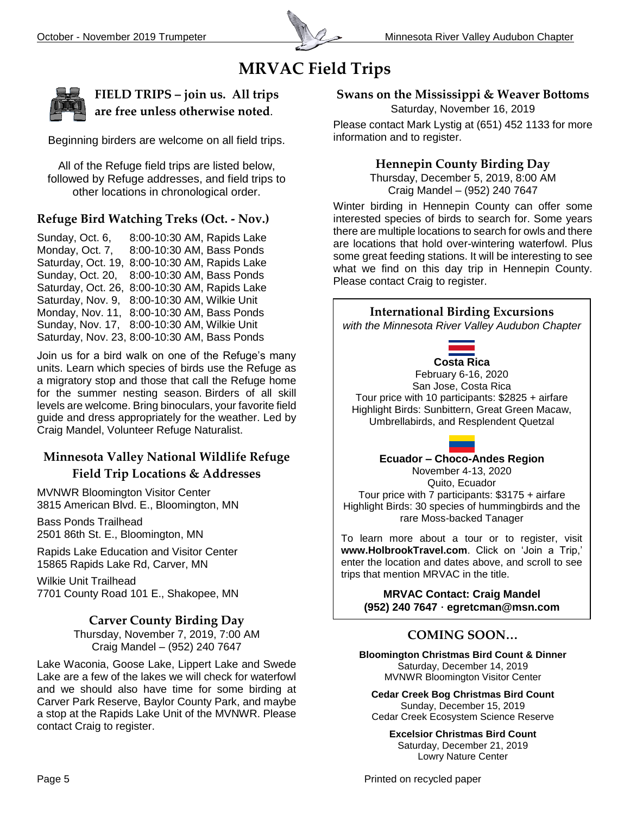

# **MRVAC Field Trips**



**FIELD TRIPS – join us. All trips are free unless otherwise noted**.

Beginning birders are welcome on all field trips.

All of the Refuge field trips are listed below, followed by Refuge addresses, and field trips to other locations in chronological order.

#### **Refuge Bird Watching Treks (Oct. - Nov.)**

Sunday, Oct. 6, 8:00-10:30 AM, Rapids Lake Monday, Oct. 7, 8:00-10:30 AM, Bass Ponds Saturday, Oct. 19, 8:00-10:30 AM, Rapids Lake Sunday, Oct. 20, 8:00-10:30 AM, Bass Ponds Saturday, Oct. 26, 8:00-10:30 AM, Rapids Lake Saturday, Nov. 9, 8:00-10:30 AM, Wilkie Unit Monday, Nov. 11, 8:00-10:30 AM, Bass Ponds Sunday, Nov. 17, 8:00-10:30 AM, Wilkie Unit Saturday, Nov. 23, 8:00-10:30 AM, Bass Ponds

Join us for a bird walk on one of the Refuge's many units. Learn which species of birds use the Refuge as a migratory stop and those that call the Refuge home for the summer nesting season. Birders of all skill levels are welcome. Bring binoculars, your favorite field guide and dress appropriately for the weather. Led by Craig Mandel, Volunteer Refuge Naturalist.

#### **Minnesota Valley National Wildlife Refuge Field Trip Locations & Addresses**

MVNWR Bloomington Visitor Center 3815 American Blvd. E., Bloomington, MN

Bass Ponds Trailhead 2501 86th St. E., Bloomington, MN

Rapids Lake Education and Visitor Center 15865 Rapids Lake Rd, Carver, MN

Wilkie Unit Trailhead 7701 County Road 101 E., Shakopee, MN

#### **Carver County Birding Day**

Thursday, November 7, 2019, 7:00 AM Craig Mandel – (952) 240 7647

Lake Waconia, Goose Lake, Lippert Lake and Swede Lake are a few of the lakes we will check for waterfowl and we should also have time for some birding at Carver Park Reserve, Baylor County Park, and maybe a stop at the Rapids Lake Unit of the MVNWR. Please contact Craig to register.

**Swans on the Mississippi & Weaver Bottoms**

Saturday, November 16, 2019

Please contact Mark Lystig at (651) 452 1133 for more information and to register.

#### **Hennepin County Birding Day**

Thursday, December 5, 2019, 8:00 AM Craig Mandel – (952) 240 7647

Winter birding in Hennepin County can offer some interested species of birds to search for. Some years there are multiple locations to search for owls and there are locations that hold over-wintering waterfowl. Plus some great feeding stations. It will be interesting to see what we find on this day trip in Hennepin County. Please contact Craig to register.



**Cedar Creek Bog Christmas Bird Count** Sunday, December 15, 2019 Cedar Creek Ecosystem Science Reserve

**Excelsior Christmas Bird Count** Saturday, December 21, 2019 Lowry Nature Center